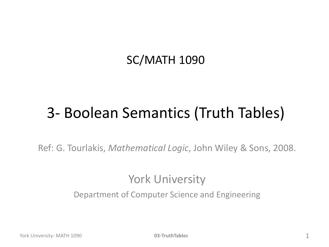#### SC/MATH 1090

## 3- Boolean Semantics (Truth Tables)

Ref: G. Tourlakis, *Mathematical Logic*, John Wiley & Sons, 2008.

#### York University

Department of Computer Science and Engineering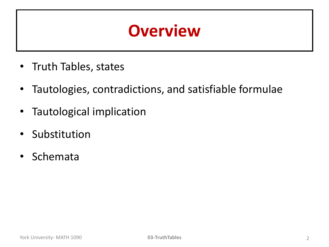### **Overview**

- Truth Tables, states
- Tautologies, contradictions, and satisfiable formulae
- Tautological implication
- Substitution
- Schemata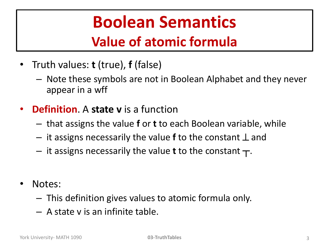## **Boolean Semantics Value of atomic formula**

- Truth values: **t** (true), **f** (false)
	- Note these symbols are not in Boolean Alphabet and they never appear in a wff
- **Definition**. A **state v** is a function
	- that assigns the value **f** or **t** to each Boolean variable, while
	- $-$  it assigns necessarily the value **f** to the constant  $\perp$  and
	- $-$  it assigns necessarily the value **t** to the constant  $\tau$ .
- Notes:
	- This definition gives values to atomic formula only.
	- A state v is an infinite table.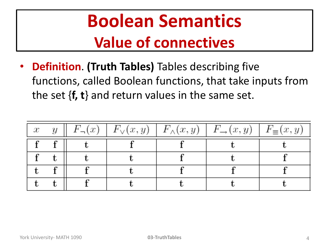# **Boolean Semantics Value of connectives**

• **Definition**. **(Truth Tables)** Tables describing five functions, called Boolean functions, that take inputs from the set {**f, t**} and return values in the same set.

| $\boldsymbol{x}$ | $F_{-}(x)$ |  | $\mid F_{\vee}(x,y) \mid F_{\wedge}(x,y) \mid F_{\rightarrow}(x,y) \mid$ | $F_{\equiv}(x, y)$ |
|------------------|------------|--|--------------------------------------------------------------------------|--------------------|
|                  |            |  |                                                                          |                    |
|                  |            |  |                                                                          |                    |
|                  |            |  |                                                                          |                    |
|                  |            |  |                                                                          |                    |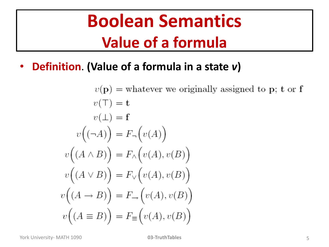## **Boolean Semantics Value of a formula**

• **Definition**. **(Value of a formula in a state** *v***)**

$$
v(\mathbf{p}) = \text{whatever we originally assigned to } \mathbf{p}; \mathbf{t} \text{ or } \mathbf{f}
$$
  
\n
$$
v(\top) = \mathbf{t}
$$
  
\n
$$
v(\bot) = \mathbf{f}
$$
  
\n
$$
v((\neg A)) = F_{\neg}(v(A))
$$
  
\n
$$
v((A \land B)) = F_{\land}(v(A), v(B))
$$
  
\n
$$
v((A \lor B)) = F_{\lor}(v(A), v(B))
$$
  
\n
$$
v((A \rightarrow B)) = F_{\rightarrow}(v(A), v(B))
$$
  
\n
$$
v((A \equiv B)) = F_{\equiv}(v(A), v(B))
$$

York University- MATH 1090 **03-TruthTables** 5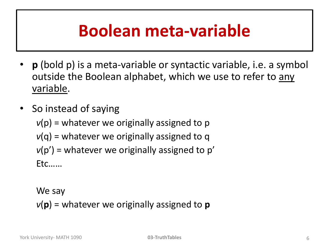## **Boolean meta-variable**

- **p** (bold p) is a meta-variable or syntactic variable, i.e. a symbol outside the Boolean alphabet, which we use to refer to any variable.
- So instead of saying  $v(p)$  = whatever we originally assigned to p *v*(q) = whatever we originally assigned to q  $v(p')$  = whatever we originally assigned to p' Etc……

We say  $v(\mathbf{p})$  = whatever we originally assigned to  $\mathbf{p}$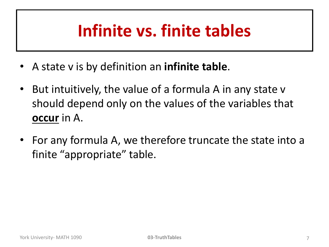## **Infinite vs. finite tables**

- A state v is by definition an **infinite table**.
- But intuitively, the value of a formula A in any state v should depend only on the values of the variables that **occur** in A.
- For any formula A, we therefore truncate the state into a finite "appropriate" table.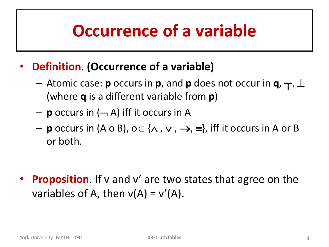## **Occurrence of a variable**

- **Definition**. **(Occurrence of a variable)**
	- $-$  Atomic case: **p** occurs in **p**, and **p** does not occur in **q**,  $\top$ ,  $\bot$ (where **q** is a different variable from **p**)
	- $-$  **p** occurs in  $(-A)$  iff it occurs in A
	- $-$  **p** occurs in (A o B),  $o \in \{ \land , \lor , \rightarrow , \equiv \}$ , iff it occurs in A or B or both.

**Proposition**. If v and v' are two states that agree on the variables of A, then  $v(A) = v'(A)$ .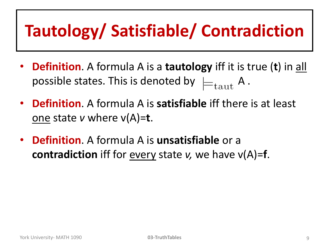# **Tautology/ Satisfiable/ Contradiction**

- **Definition**. A formula A is a **tautology** iff it is true (**t**) in all possible states. This is denoted by  $\models_{\text{taut}} A$ .
- **Definition**. A formula A is **satisfiable** iff there is at least one state *v* where v(A)=**t**.
- **Definition**. A formula A is **unsatisfiable** or a **contradiction** iff for every state *v,* we have v(A)=**f**.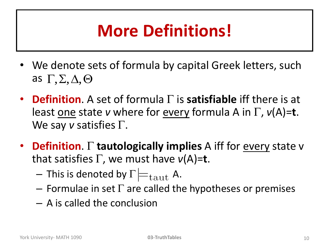# **More Definitions!**

- We denote sets of formula by capital Greek letters, such as  $\Gamma$ ,  $\Sigma$ ,  $\Delta$ ,  $\Theta$
- **Definition**. A set of formula  $\Gamma$  is **satisfiable** iff there is at least one state *v* where for every formula A in  $\Gamma$ ,  $v(A)=t$ . We say  $v$  satisfies  $\Gamma$ . **as**  $\Gamma$ **,**  $\Sigma$ **,**  $\Delta$ **,**  $\Theta$ <br> **• Definition.** A set of formula  $\Gamma$  is **satisfiable** iff there is at least <u>one</u> state *v* where for <u>every</u> formula A in  $\Gamma$ ,  $v(A)=t$ .<br>
We say *v* satisfies  $\Gamma$ .<br> **• Definition.**  $\Gamma$  **tau**
- **Definition**. **tautologically implies** A iff for every state v that satisfies  $\Gamma$ , we must have  $v(A)=t$ .
	- $-$  This is denoted by  $\Gamma \not\models_{\text{taut}} A$ .
	- Formulae in set  $\Gamma$  are called the hypotheses or premises
	- A is called the conclusion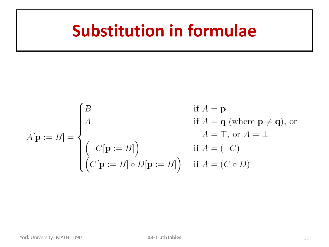## **Substitution in formulae**

$$
A[\mathbf{p} := B] = \begin{cases} B & \text{if } A = \mathbf{p} \\ A & \text{if } A = \mathbf{q} \text{ (where } \mathbf{p} \neq \mathbf{q}\text{), on } \\ & A = \top, \text{ or } A = \bot \\ \begin{pmatrix} \neg C[\mathbf{p} := B] \\ C[\mathbf{p} := B] \circ D[\mathbf{p} := B] \end{pmatrix} & \text{if } A = (C \circ D) \end{cases}
$$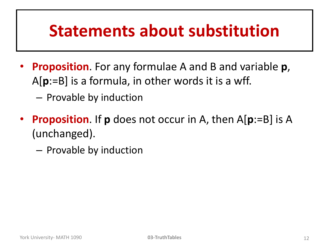### **Statements about substitution**

- **Proposition**. For any formulae A and B and variable **p**, A[**p**:=B] is a formula, in other words it is a wff.
	- Provable by induction
- **Proposition**. If **p** does not occur in A, then A[**p**:=B] is A (unchanged).
	- Provable by induction